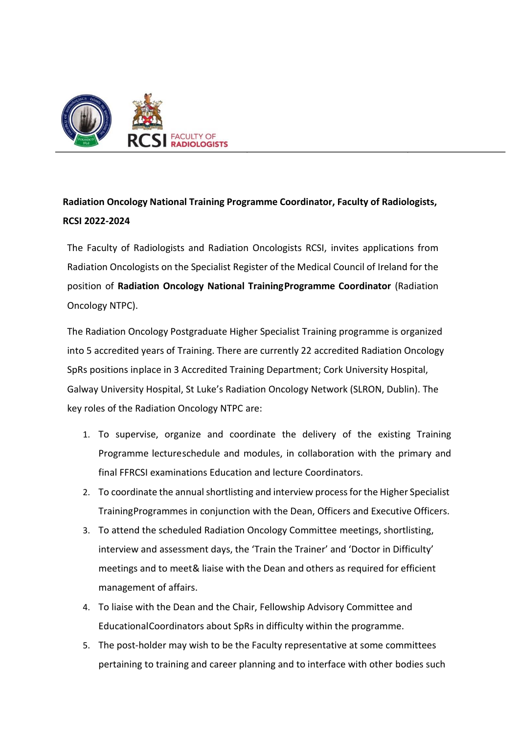

## **Radiation Oncology National Training Programme Coordinator, Faculty of Radiologists, RCSI 2022-2024**

The Faculty of Radiologists and Radiation Oncologists RCSI, invites applications from Radiation Oncologists on the Specialist Register of the Medical Council of Ireland for the position of **Radiation Oncology National TrainingProgramme Coordinator** (Radiation Oncology NTPC).

The Radiation Oncology Postgraduate Higher Specialist Training programme is organized into 5 accredited years of Training. There are currently 22 accredited Radiation Oncology SpRs positions inplace in 3 Accredited Training Department; Cork University Hospital, Galway University Hospital, St Luke's Radiation Oncology Network (SLRON, Dublin). The key roles of the Radiation Oncology NTPC are:

- 1. To supervise, organize and coordinate the delivery of the existing Training Programme lectureschedule and modules, in collaboration with the primary and final FFRCSI examinations Education and lecture Coordinators.
- 2. To coordinate the annual shortlisting and interview process for the Higher Specialist TrainingProgrammes in conjunction with the Dean, Officers and Executive Officers.
- 3. To attend the scheduled Radiation Oncology Committee meetings, shortlisting, interview and assessment days, the 'Train the Trainer' and 'Doctor in Difficulty' meetings and to meet& liaise with the Dean and others as required for efficient management of affairs.
- 4. To liaise with the Dean and the Chair, Fellowship Advisory Committee and EducationalCoordinators about SpRs in difficulty within the programme.
- 5. The post-holder may wish to be the Faculty representative at some committees pertaining to training and career planning and to interface with other bodies such